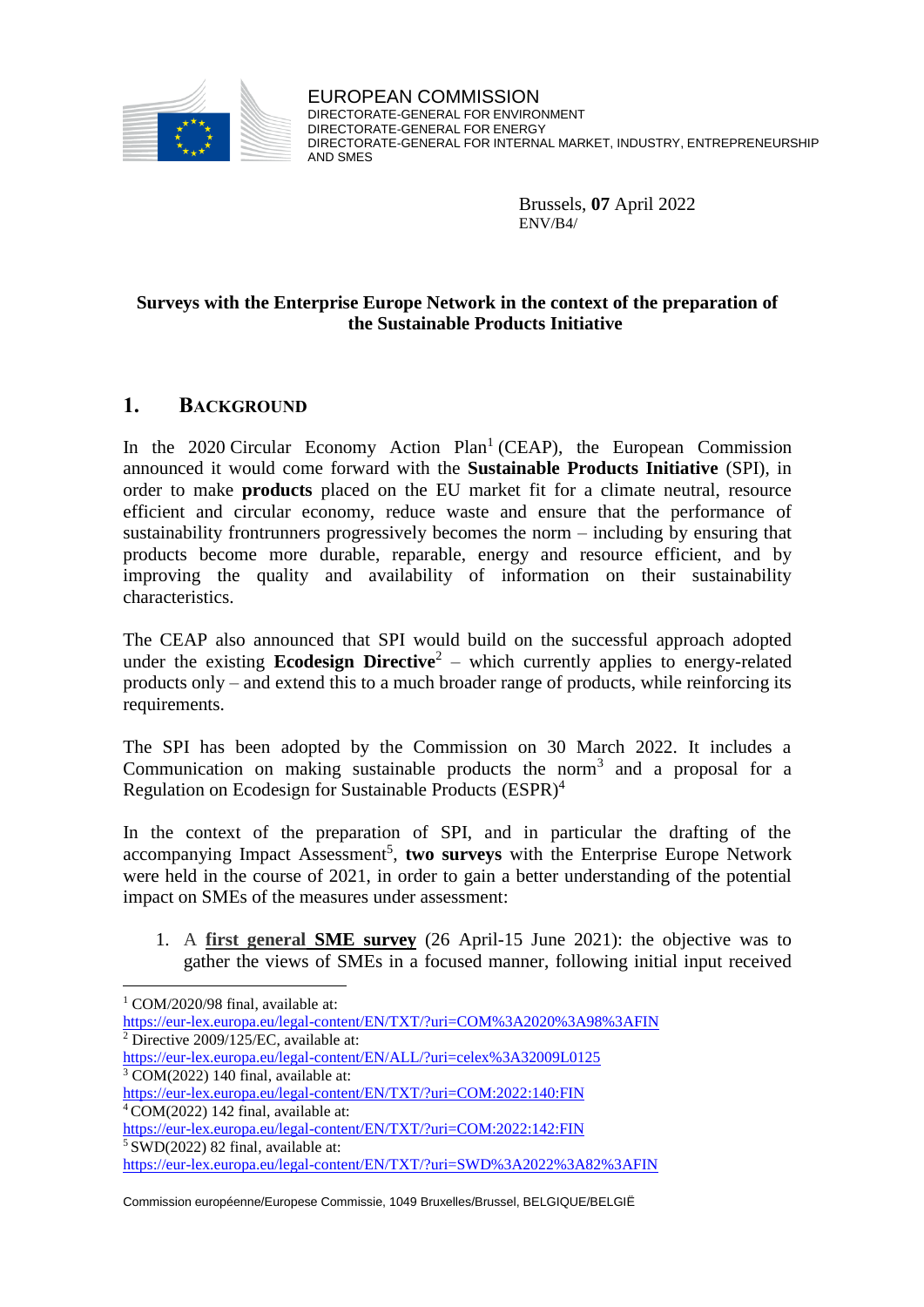

EUROPEAN COMMISSION DIRECTORATE-GENERAL FOR ENVIRONMENT DIRECTORATE-GENERAL FOR ENERGY DIRECTORATE-GENERAL FOR INTERNAL MARKET, INDUSTRY, ENTREPRENEURSHIP AND SMES

> Brussels, **07** April 2022 ENV/B4/

## **Surveys with the Enterprise Europe Network in the context of the preparation of the Sustainable Products Initiative**

# **1. BACKGROUND**

In the 2020 Circular Economy Action Plan<sup>1</sup> (CEAP), the European Commission announced it would come forward with the **Sustainable Products Initiative** (SPI), in order to make **products** placed on the EU market fit for a climate neutral, resource efficient and circular economy, reduce waste and ensure that the performance of sustainability frontrunners progressively becomes the norm – including by ensuring that products become more durable, reparable, energy and resource efficient, and by improving the quality and availability of information on their sustainability characteristics.

The CEAP also announced that SPI would build on the successful approach adopted under the existing **Ecodesign Directive**<sup>2</sup> – which currently applies to energy-related products only – and extend this to a much broader range of products, while reinforcing its requirements.

The SPI has been adopted by the Commission on 30 March 2022. It includes a Communication on making sustainable products the norm<sup>3</sup> and a proposal for a Regulation on Ecodesign for Sustainable Products (ESPR)<sup>4</sup>

In the context of the preparation of SPI, and in particular the drafting of the accompanying Impact Assessment<sup>5</sup>, two surveys with the Enterprise Europe Network were held in the course of 2021, in order to gain a better understanding of the potential impact on SMEs of the measures under assessment:

1. A **first general SME survey** (26 April-15 June 2021): the objective was to gather the views of SMEs in a focused manner, following initial input received

 $\overline{a}$ 

Commission européenne/Europese Commissie, 1049 Bruxelles/Brussel, BELGIQUE/BELGIË

<sup>&</sup>lt;sup>1</sup> COM/2020/98 final, available at:

<https://eur-lex.europa.eu/legal-content/EN/TXT/?uri=COM%3A2020%3A98%3AFIN>  $2$  Directive 2009/125/EC, available at:

<https://eur-lex.europa.eu/legal-content/EN/ALL/?uri=celex%3A32009L0125>

<sup>3</sup> COM(2022) 140 final, available at:

<https://eur-lex.europa.eu/legal-content/EN/TXT/?uri=COM:2022:140:FIN>  $4$  COM(2022) 142 final, available at:

<https://eur-lex.europa.eu/legal-content/EN/TXT/?uri=COM:2022:142:FIN>  $5$  SWD(2022) 82 final, available at:

<https://eur-lex.europa.eu/legal-content/EN/TXT/?uri=SWD%3A2022%3A82%3AFIN>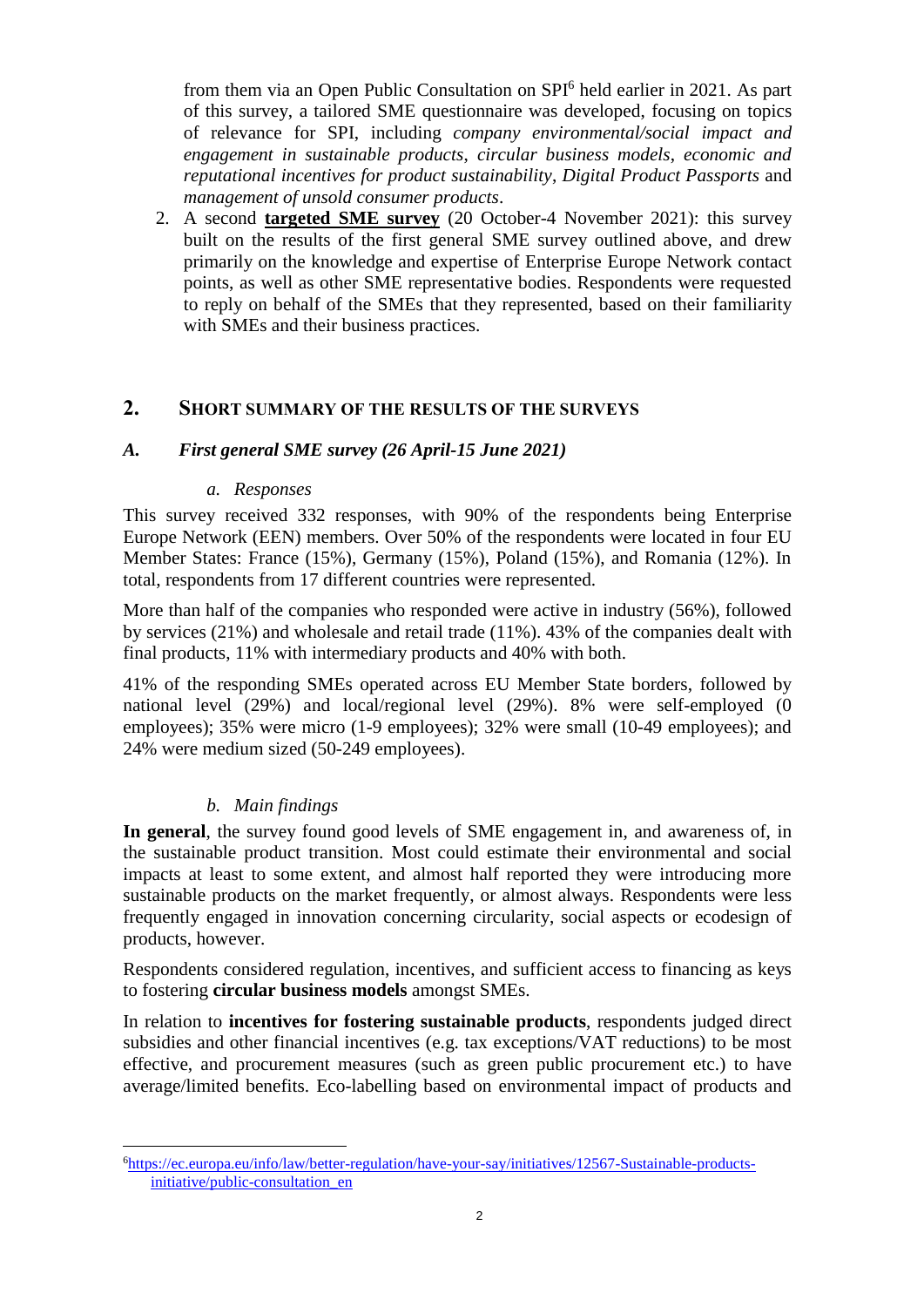from them via an Open Public Consultation on SPI<sup>6</sup> held earlier in 2021. As part of this survey, a tailored SME questionnaire was developed, focusing on topics of relevance for SPI, including *company environmental/social impact and engagement in sustainable products*, *circular business models*, *economic and reputational incentives for product sustainability*, *Digital Product Passports* and *management of unsold consumer products*.

2. A second **targeted SME survey** (20 October-4 November 2021): this survey built on the results of the first general SME survey outlined above, and drew primarily on the knowledge and expertise of Enterprise Europe Network contact points, as well as other SME representative bodies. Respondents were requested to reply on behalf of the SMEs that they represented, based on their familiarity with SMEs and their business practices.

# **2. SHORT SUMMARY OF THE RESULTS OF THE SURVEYS**

## *A. First general SME survey (26 April-15 June 2021)*

#### *a. Responses*

This survey received 332 responses, with 90% of the respondents being Enterprise Europe Network (EEN) members. Over 50% of the respondents were located in four EU Member States: France (15%), Germany (15%), Poland (15%), and Romania (12%). In total, respondents from 17 different countries were represented.

More than half of the companies who responded were active in industry (56%), followed by services (21%) and wholesale and retail trade (11%). 43% of the companies dealt with final products, 11% with intermediary products and 40% with both.

41% of the responding SMEs operated across EU Member State borders, followed by national level (29%) and local/regional level (29%). 8% were self-employed (0 employees); 35% were micro (1-9 employees); 32% were small (10-49 employees); and 24% were medium sized (50-249 employees).

## *b. Main findings*

 $\overline{a}$ 

**In general**, the survey found good levels of SME engagement in, and awareness of, in the sustainable product transition. Most could estimate their environmental and social impacts at least to some extent, and almost half reported they were introducing more sustainable products on the market frequently, or almost always. Respondents were less frequently engaged in innovation concerning circularity, social aspects or ecodesign of products, however.

Respondents considered regulation, incentives, and sufficient access to financing as keys to fostering **circular business models** amongst SMEs.

In relation to **incentives for fostering sustainable products**, respondents judged direct subsidies and other financial incentives (e.g. tax exceptions/VAT reductions) to be most effective, and procurement measures (such as green public procurement etc.) to have average/limited benefits. Eco-labelling based on environmental impact of products and

<sup>6</sup>[https://ec.europa.eu/info/law/better-regulation/have-your-say/initiatives/12567-Sustainable-products](https://ec.europa.eu/info/law/better-regulation/have-your-say/initiatives/12567-Sustainable-products-initiative/public-consultation_en)[initiative/public-consultation\\_en](https://ec.europa.eu/info/law/better-regulation/have-your-say/initiatives/12567-Sustainable-products-initiative/public-consultation_en)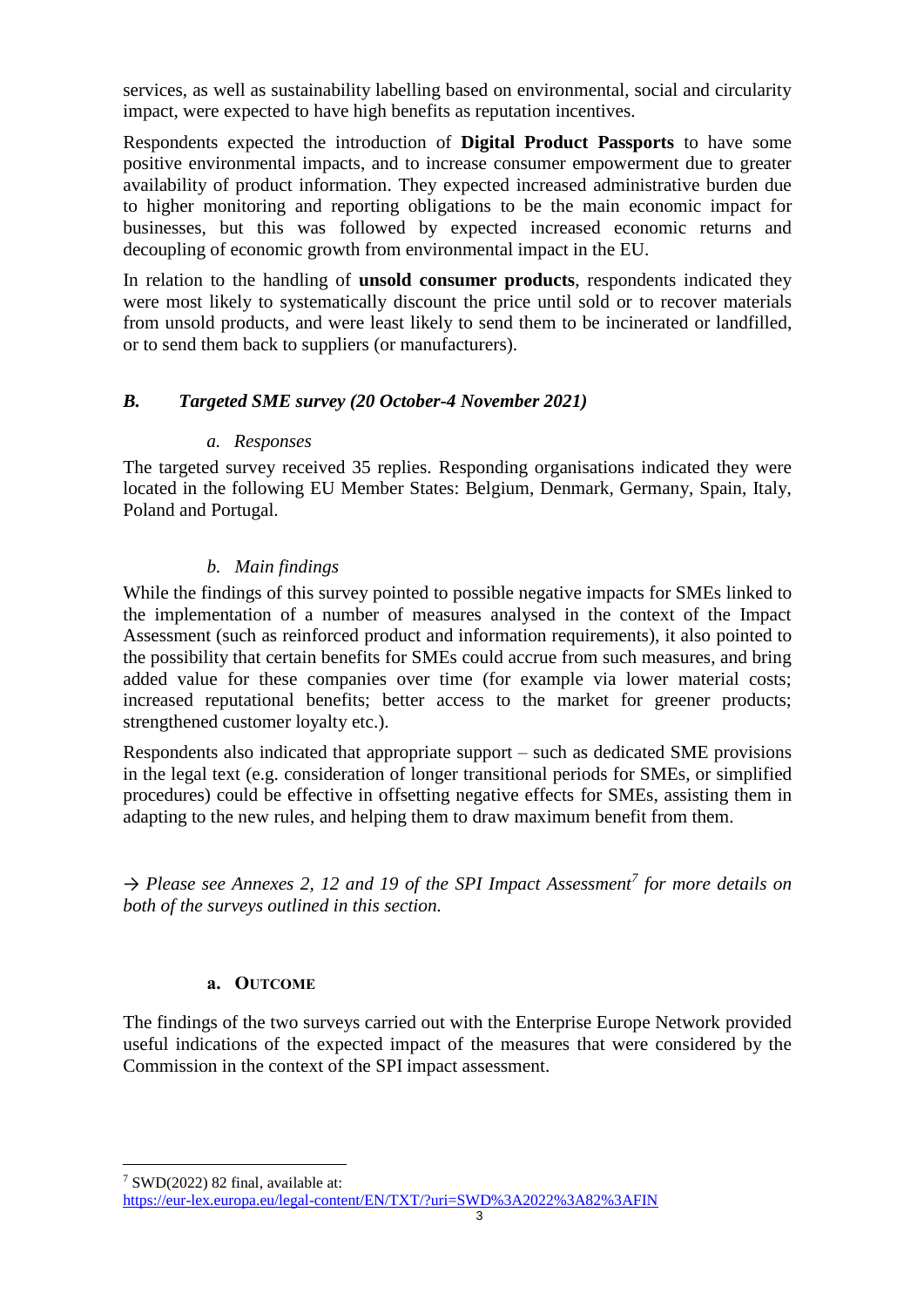services, as well as sustainability labelling based on environmental, social and circularity impact, were expected to have high benefits as reputation incentives.

Respondents expected the introduction of **Digital Product Passports** to have some positive environmental impacts, and to increase consumer empowerment due to greater availability of product information. They expected increased administrative burden due to higher monitoring and reporting obligations to be the main economic impact for businesses, but this was followed by expected increased economic returns and decoupling of economic growth from environmental impact in the EU.

In relation to the handling of **unsold consumer products**, respondents indicated they were most likely to systematically discount the price until sold or to recover materials from unsold products, and were least likely to send them to be incinerated or landfilled, or to send them back to suppliers (or manufacturers).

### *B. Targeted SME survey (20 October-4 November 2021)*

#### *a. Responses*

The targeted survey received 35 replies. Responding organisations indicated they were located in the following EU Member States: Belgium, Denmark, Germany, Spain, Italy, Poland and Portugal.

### *b. Main findings*

While the findings of this survey pointed to possible negative impacts for SMEs linked to the implementation of a number of measures analysed in the context of the Impact Assessment (such as reinforced product and information requirements), it also pointed to the possibility that certain benefits for SMEs could accrue from such measures, and bring added value for these companies over time (for example via lower material costs; increased reputational benefits; better access to the market for greener products; strengthened customer loyalty etc.).

Respondents also indicated that appropriate support – such as dedicated SME provisions in the legal text (e.g. consideration of longer transitional periods for SMEs, or simplified procedures) could be effective in offsetting negative effects for SMEs, assisting them in adapting to the new rules, and helping them to draw maximum benefit from them.

*→ Please see Annexes 2, 12 and 19 of the SPI Impact Assessment<sup>7</sup> for more details on both of the surveys outlined in this section.*

#### **a. OUTCOME**

The findings of the two surveys carried out with the Enterprise Europe Network provided useful indications of the expected impact of the measures that were considered by the Commission in the context of the SPI impact assessment.

 $\overline{a}$ 

<sup>7</sup> SWD(2022) 82 final, available at:

<https://eur-lex.europa.eu/legal-content/EN/TXT/?uri=SWD%3A2022%3A82%3AFIN>